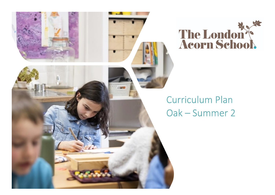



## **Curriculum Plan** Oak - Summer 2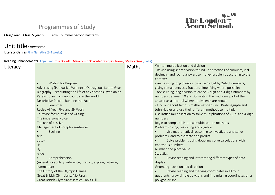## Programmes of Study

Class/ Year Class 5 year 6 Term Summer Second half term

## Unit title : Awesome

Literacy Genres Film Narrative (3-4 weeks)



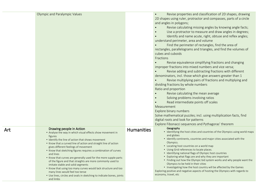| Olympic and Paralympic Values                                                                                                                                                                                                                                                                                                                                                                                                                                                                                                                                                                                                                                                                                     |                   | Revise properties and classification of 2D shapes, drawing<br>$\bullet$<br>2D shapes using ruler, protractor and compasses, parts of a circle<br>and angles in polygons;<br>Revise calculating missing angles by knowing angle facts;<br>Use a protractor to measure and draw angles in degrees;<br>Identify and name acute, right, obtuse and reflex angles;<br>understand perimeter, area and volume<br>Find the perimeter of rectangles, find the area of<br>rectangles, parallelograms and triangles, and find the volumes of<br>cubes and cuboids<br>Fractions<br>Revise equivalence simplifying fractions and changing<br>improper fractions into mixed numbers and vice versa;<br>Revise adding and subtracting fractions with different<br>denominators, incl. those which give answers greater than 1<br>Revise multiplying pairs of fractions and multiplying and<br>dividing fractions by whole numbers<br>Ratio and proportion<br>Revise calculating the mean average<br>Solving problems involving ratios<br>Read intermediate points off scales<br>Measurement<br>Explore binary numbers<br>Solve mathematical puzzles; incl. using multiplication facts, find<br>digital roots and look for patterns<br>Explore Fibonacci sequences and Pythagoras' theorem |
|-------------------------------------------------------------------------------------------------------------------------------------------------------------------------------------------------------------------------------------------------------------------------------------------------------------------------------------------------------------------------------------------------------------------------------------------------------------------------------------------------------------------------------------------------------------------------------------------------------------------------------------------------------------------------------------------------------------------|-------------------|----------------------------------------------------------------------------------------------------------------------------------------------------------------------------------------------------------------------------------------------------------------------------------------------------------------------------------------------------------------------------------------------------------------------------------------------------------------------------------------------------------------------------------------------------------------------------------------------------------------------------------------------------------------------------------------------------------------------------------------------------------------------------------------------------------------------------------------------------------------------------------------------------------------------------------------------------------------------------------------------------------------------------------------------------------------------------------------------------------------------------------------------------------------------------------------------------------------------------------------------------------------------------|
| Drawing people in Action<br>• Analyse the way in which visual effects show movement in<br>figures<br>• Identify the line of action that shows movement<br>• Know that a curved line of action and straight line of action<br>gives different feelings of movement<br>• Know that sketching figures requires a combination of curves<br>and lines<br>• Know that curves are generally used for the more supple parts<br>of the figure and that straights are more commonly used to<br>imitate stable and solid segments<br>• Know that using too many curves would lack structure and too<br>many lines would feel too tense<br>• Use lines, circles and ovals in sketching to indicate bones, joints<br>and limbs | <b>Humanities</b> | Geography<br>• Identifying the host cities and countries of the Olympics using world maps<br>and globes<br>• Identify continents, countries and major cities associated with the<br>Olympics.<br>• Locating host countries on a world map<br>• Using Grid references to locate places.<br>• Identifying national flags of Olympic host countries<br>• Exploring what flags are and why they are important<br>• Finding out how the Olympic bid system works and why people want the<br>Olympics to be held in their cities<br>• Investigating how the host country will be affected by the Games<br>Exploring positive and negative aspects of hosting the Olympics with regards to<br>economy, travel, etc                                                                                                                                                                                                                                                                                                                                                                                                                                                                                                                                                                |

Art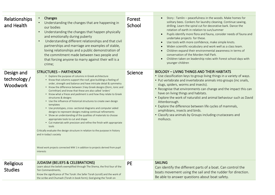| Relationships<br>and Health            | Changes<br>Understanding the changes that are happening in<br>our bodies<br>Understanding the changes that happen physically<br>$\bullet$<br>and emotionally during puberty<br>Understanding different relationships and that civil<br>$\bullet$<br>partnerships and marriage are examples of stable,<br>loving relationships and a public demonstration of<br>the commitment made between two people and<br>that forcing anyone to marry against their will is a                                                                                                                                                                                                                                                                                                                                                                                                                                                                                                                                                                                                                               | Forest<br>School | Story: Tamlin - peacefulness in the woods. Make homes for<br>solitary bees. Conkers for laundry cleaning. Continue sawing,<br>drilling. Learn the spiral cut for decorative bark. Dance the<br>rotation of earth in relation to sun/summer<br>Pupils identify more flora and fauna, consider needs of fauna and<br>undertake projects for these.<br>Use tools with more confidence, make simple knots.<br>Widen scientific vocabulary and work well as a class team.<br>Children expand their environmental awareness in terms of<br>conservation of the Morden Hall Park.<br>Children taken on leadership roles with Forest school days with<br>younger children |
|----------------------------------------|-------------------------------------------------------------------------------------------------------------------------------------------------------------------------------------------------------------------------------------------------------------------------------------------------------------------------------------------------------------------------------------------------------------------------------------------------------------------------------------------------------------------------------------------------------------------------------------------------------------------------------------------------------------------------------------------------------------------------------------------------------------------------------------------------------------------------------------------------------------------------------------------------------------------------------------------------------------------------------------------------------------------------------------------------------------------------------------------------|------------------|-------------------------------------------------------------------------------------------------------------------------------------------------------------------------------------------------------------------------------------------------------------------------------------------------------------------------------------------------------------------------------------------------------------------------------------------------------------------------------------------------------------------------------------------------------------------------------------------------------------------------------------------------------------------|
| Design and<br>technology /<br>Woodwork | crime;<br><b>STRUCTURES - PARTHENON</b><br>• Explore the purpose of columns in Greek architecture<br>• Know that columns support the roof, give buildings a feeling of<br>order, strength and balance and have intricate detail & symmetry<br>• Know the difference between 3 key Greek designs (Doric, Ionic and<br>Corinthian) and know that these are also called 'orders'<br>• Know what a frieze and pediment is and how they relate to Greek<br>structures & designs<br>• Use the influence of historical structures to create own design<br>templates<br>• Use prototypes, cross- sectional diagrams and computer aided<br>designs to represent designs making continual refinements<br>• Show an understanding of the qualities of materials to choose<br>appropriate tools to cut and shape<br>• Cut materials with precision and refine the finish with appropriate<br>tools<br>Critically evaluate the design structure in relation to the purpose in history<br>and in today's society<br>Wood work projects connected WW 1 in addition to projects derived from pupil<br>interests | Science          | <b>BIOLOGY - LIVING THINGS AND THEIR HABITATS</b><br>• Use classification keys to group living things in a variety of ways.<br>• Put vertebrate and invertebrate animals into groups (inc snails,<br>slugs, spiders, worms and insects).<br>• Recognise that environments can change and the impact this can<br>have on living things and habitats.<br>• Explore the work of naturalist and animal behaviour such as David<br>Attenborough.<br>• Explore the difference between life cycles of mammals,<br>amphibians, insects and birds.<br>• Classify sea animals by Groups including crustaceans and<br>molluscs.                                              |
| <b>Religious</b><br><b>Studies</b>     | <b>JUDAISM (BELIEFS &amp; CELEBRATIONS)</b><br>Learn about the beliefs exemplified through The Shema, the first four of the<br>Ten Commandments,<br>Know the significance of The Torah: the Sefer Torah (scroll) and the work of<br>the scribe and Chumash (Torah in book form); God giving the Torah on                                                                                                                                                                                                                                                                                                                                                                                                                                                                                                                                                                                                                                                                                                                                                                                        | <b>PE</b>        | <b>SAILING</b><br>Can identify the different parts of a boat. Can control the<br>boats movement using the sail and the rudder for direction.<br>Be able to answer questions about boat safety.                                                                                                                                                                                                                                                                                                                                                                                                                                                                    |